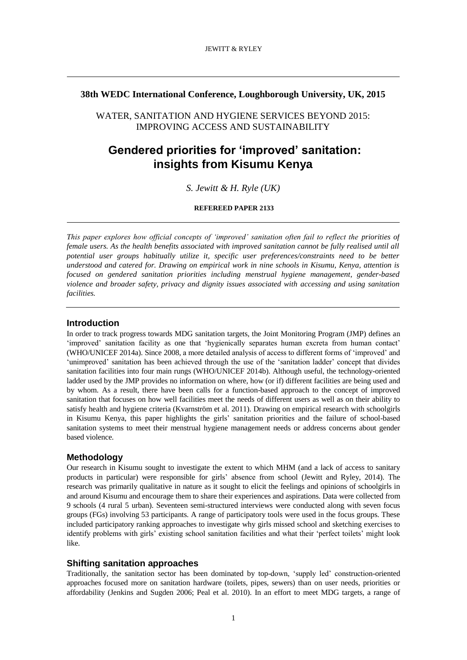# **38th WEDC International Conference, Loughborough University, UK, 2015**

WATER, SANITATION AND HYGIENE SERVICES BEYOND 2015: IMPROVING ACCESS AND SUSTAINABILITY

# **Gendered priorities for 'improved' sanitation: insights from Kisumu Kenya**

*S. Jewitt & H. Ryle (UK)*

## **REFEREED PAPER 2133**

*This paper explores how official concepts of 'improved' sanitation often fail to reflect the priorities of female users. As the health benefits associated with improved sanitation cannot be fully realised until all potential user groups habitually utilize it, specific user preferences/constraints need to be better understood and catered for. Drawing on empirical work in nine schools in Kisumu, Kenya, attention is focused on gendered sanitation priorities including menstrual hygiene management, gender-based violence and broader safety, privacy and dignity issues associated with accessing and using sanitation facilities.*

## **Introduction**

In order to track progress towards MDG sanitation targets, the Joint Monitoring Program (JMP) defines an 'improved' sanitation facility as one that 'hygienically separates human excreta from human contact' (WHO/UNICEF 2014a). Since 2008, a more detailed analysis of access to different forms of 'improved' and 'unimproved' sanitation has been achieved through the use of the 'sanitation ladder' concept that divides sanitation facilities into four main rungs (WHO/UNICEF 2014b). Although useful, the technology-oriented ladder used by the JMP provides no information on where, how (or if) different facilities are being used and by whom. As a result, there have been calls for a function-based approach to the concept of improved sanitation that focuses on how well facilities meet the needs of different users as well as on their ability to satisfy health and hygiene criteria (Kvarnström et al. 2011). Drawing on empirical research with schoolgirls in Kisumu Kenya, this paper highlights the girls' sanitation priorities and the failure of school-based sanitation systems to meet their menstrual hygiene management needs or address concerns about gender based violence.

## **Methodology**

Our research in Kisumu sought to investigate the extent to which MHM (and a lack of access to sanitary products in particular) were responsible for girls' absence from school (Jewitt and Ryley, 2014). The research was primarily qualitative in nature as it sought to elicit the feelings and opinions of schoolgirls in and around Kisumu and encourage them to share their experiences and aspirations. Data were collected from 9 schools (4 rural 5 urban). Seventeen semi-structured interviews were conducted along with seven focus groups (FGs) involving 53 participants. A range of participatory tools were used in the focus groups. These included participatory ranking approaches to investigate why girls missed school and sketching exercises to identify problems with girls' existing school sanitation facilities and what their 'perfect toilets' might look like.

# **Shifting sanitation approaches**

Traditionally, the sanitation sector has been dominated by top-down, 'supply led' construction-oriented approaches focused more on sanitation hardware (toilets, pipes, sewers) than on user needs, priorities or affordability (Jenkins and Sugden 2006; Peal et al. 2010). In an effort to meet MDG targets, a range of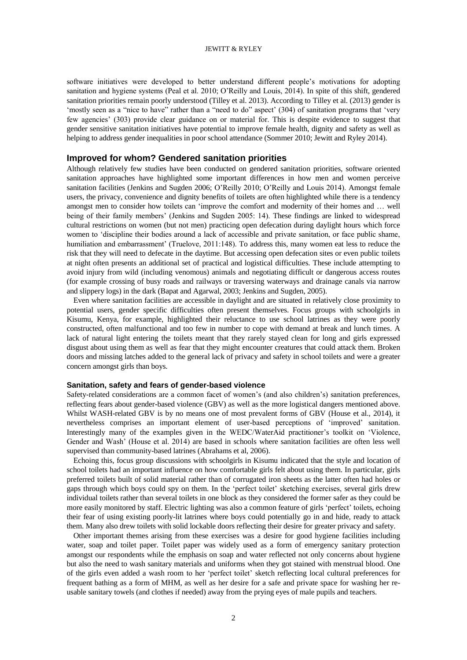## JEWITT & RYLEY

software initiatives were developed to better understand different people's motivations for adopting sanitation and hygiene systems (Peal et al. 2010; O'Reilly and Louis, 2014). In spite of this shift, gendered sanitation priorities remain poorly understood (Tilley et al. 2013). According to Tilley et al. (2013) gender is 'mostly seen as a "nice to have" rather than a "need to do" aspect' (304) of sanitation programs that 'very few agencies' (303) provide clear guidance on or material for. This is despite evidence to suggest that gender sensitive sanitation initiatives have potential to improve female health, dignity and safety as well as helping to address gender inequalities in poor school attendance (Sommer 2010; Jewitt and Ryley 2014).

# **Improved for whom? Gendered sanitation priorities**

Although relatively few studies have been conducted on gendered sanitation priorities, software oriented sanitation approaches have highlighted some important differences in how men and women perceive sanitation facilities (Jenkins and Sugden 2006; O'Reilly 2010; O'Reilly and Louis 2014). Amongst female users, the privacy, convenience and dignity benefits of toilets are often highlighted while there is a tendency amongst men to consider how toilets can 'improve the comfort and modernity of their homes and … well being of their family members' (Jenkins and Sugden 2005: 14). These findings are linked to widespread cultural restrictions on women (but not men) practicing open defecation during daylight hours which force women to 'discipline their bodies around a lack of accessible and private sanitation, or face public shame, humiliation and embarrassment' (Truelove, 2011:148). To address this, many women eat less to reduce the risk that they will need to defecate in the daytime. But accessing open defecation sites or even public toilets at night often presents an additional set of practical and logistical difficulties. These include attempting to avoid injury from wild (including venomous) animals and negotiating difficult or dangerous access routes (for example crossing of busy roads and railways or traversing waterways and drainage canals via narrow and slippery logs) in the dark (Bapat and Agarwal, 2003; Jenkins and Sugden, 2005).

Even where sanitation facilities are accessible in daylight and are situated in relatively close proximity to potential users, gender specific difficulties often present themselves. Focus groups with schoolgirls in Kisumu, Kenya, for example, highlighted their reluctance to use school latrines as they were poorly constructed, often malfunctional and too few in number to cope with demand at break and lunch times. A lack of natural light entering the toilets meant that they rarely stayed clean for long and girls expressed disgust about using them as well as fear that they might encounter creatures that could attack them. Broken doors and missing latches added to the general lack of privacy and safety in school toilets and were a greater concern amongst girls than boys.

## **Sanitation, safety and fears of gender-based violence**

Safety-related considerations are a common facet of women's (and also children's) sanitation preferences, reflecting fears about gender-based violence (GBV) as well as the more logistical dangers mentioned above. Whilst WASH-related GBV is by no means one of most prevalent forms of GBV (House et al., 2014), it nevertheless comprises an important element of user-based perceptions of 'improved' sanitation. Interestingly many of the examples given in the WEDC/WaterAid practitioner's toolkit on 'Violence, Gender and Wash' (House et al. 2014) are based in schools where sanitation facilities are often less well supervised than community-based latrines (Abrahams et al, 2006).

Echoing this, focus group discussions with schoolgirls in Kisumu indicated that the style and location of school toilets had an important influence on how comfortable girls felt about using them. In particular, girls preferred toilets built of solid material rather than of corrugated iron sheets as the latter often had holes or gaps through which boys could spy on them. In the 'perfect toilet' sketching exercises, several girls drew individual toilets rather than several toilets in one block as they considered the former safer as they could be more easily monitored by staff. Electric lighting was also a common feature of girls 'perfect' toilets, echoing their fear of using existing poorly-lit latrines where boys could potentially go in and hide, ready to attack them. Many also drew toilets with solid lockable doors reflecting their desire for greater privacy and safety.

Other important themes arising from these exercises was a desire for good hygiene facilities including water, soap and toilet paper. Toilet paper was widely used as a form of emergency sanitary protection amongst our respondents while the emphasis on soap and water reflected not only concerns about hygiene but also the need to wash sanitary materials and uniforms when they got stained with menstrual blood. One of the girls even added a wash room to her 'perfect toilet' sketch reflecting local cultural preferences for frequent bathing as a form of MHM, as well as her desire for a safe and private space for washing her reusable sanitary towels (and clothes if needed) away from the prying eyes of male pupils and teachers.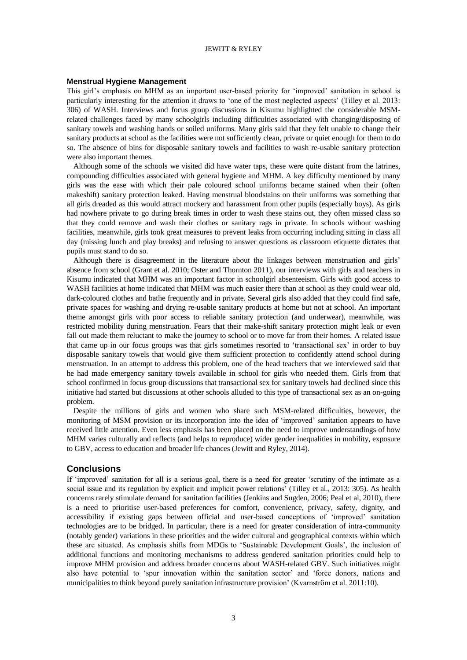### JEWITT & RYLEY

### **Menstrual Hygiene Management**

This girl's emphasis on MHM as an important user-based priority for 'improved' sanitation in school is particularly interesting for the attention it draws to 'one of the most neglected aspects' (Tilley et al. 2013: 306) of WASH. Interviews and focus group discussions in Kisumu highlighted the considerable MSMrelated challenges faced by many schoolgirls including difficulties associated with changing/disposing of sanitary towels and washing hands or soiled uniforms. Many girls said that they felt unable to change their sanitary products at school as the facilities were not sufficiently clean, private or quiet enough for them to do so. The absence of bins for disposable sanitary towels and facilities to wash re-usable sanitary protection were also important themes.

Although some of the schools we visited did have water taps, these were quite distant from the latrines, compounding difficulties associated with general hygiene and MHM. A key difficulty mentioned by many girls was the ease with which their pale coloured school uniforms became stained when their (often makeshift) sanitary protection leaked. Having menstrual bloodstains on their uniforms was something that all girls dreaded as this would attract mockery and harassment from other pupils (especially boys). As girls had nowhere private to go during break times in order to wash these stains out, they often missed class so that they could remove and wash their clothes or sanitary rags in private. In schools without washing facilities, meanwhile, girls took great measures to prevent leaks from occurring including sitting in class all day (missing lunch and play breaks) and refusing to answer questions as classroom etiquette dictates that pupils must stand to do so.

Although there is disagreement in the literature about the linkages between menstruation and girls' absence from school (Grant et al. 2010; Oster and Thornton 2011), our interviews with girls and teachers in Kisumu indicated that MHM was an important factor in schoolgirl absenteeism. Girls with good access to WASH facilities at home indicated that MHM was much easier there than at school as they could wear old, dark-coloured clothes and bathe frequently and in private. Several girls also added that they could find safe, private spaces for washing and drying re-usable sanitary products at home but not at school. An important theme amongst girls with poor access to reliable sanitary protection (and underwear), meanwhile, was restricted mobility during menstruation. Fears that their make-shift sanitary protection might leak or even fall out made them reluctant to make the journey to school or to move far from their homes. A related issue that came up in our focus groups was that girls sometimes resorted to 'transactional sex' in order to buy disposable sanitary towels that would give them sufficient protection to confidently attend school during menstruation. In an attempt to address this problem, one of the head teachers that we interviewed said that he had made emergency sanitary towels available in school for girls who needed them. Girls from that school confirmed in focus group discussions that transactional sex for sanitary towels had declined since this initiative had started but discussions at other schools alluded to this type of transactional sex as an on-going problem.

Despite the millions of girls and women who share such MSM-related difficulties, however, the monitoring of MSM provision or its incorporation into the idea of 'improved' sanitation appears to have received little attention. Even less emphasis has been placed on the need to improve understandings of how MHM varies culturally and reflects (and helps to reproduce) wider gender inequalities in mobility, exposure to GBV, access to education and broader life chances (Jewitt and Ryley, 2014).

#### **Conclusions**

If 'improved' sanitation for all is a serious goal, there is a need for greater 'scrutiny of the intimate as a social issue and its regulation by explicit and implicit power relations' (Tilley et al., 2013: 305). As health concerns rarely stimulate demand for sanitation facilities (Jenkins and Sugden, 2006; Peal et al, 2010), there is a need to prioritise user-based preferences for comfort, convenience, privacy, safety, dignity, and accessibility if existing gaps between official and user-based conceptions of 'improved' sanitation technologies are to be bridged. In particular, there is a need for greater consideration of intra-community (notably gender) variations in these priorities and the wider cultural and geographical contexts within which these are situated. As emphasis shifts from MDGs to 'Sustainable Development Goals', the inclusion of additional functions and monitoring mechanisms to address gendered sanitation priorities could help to improve MHM provision and address broader concerns about WASH-related GBV. Such initiatives might also have potential to 'spur innovation within the sanitation sector' and 'force donors, nations and municipalities to think beyond purely sanitation infrastructure provision' (Kvarnström et al. 2011:10).